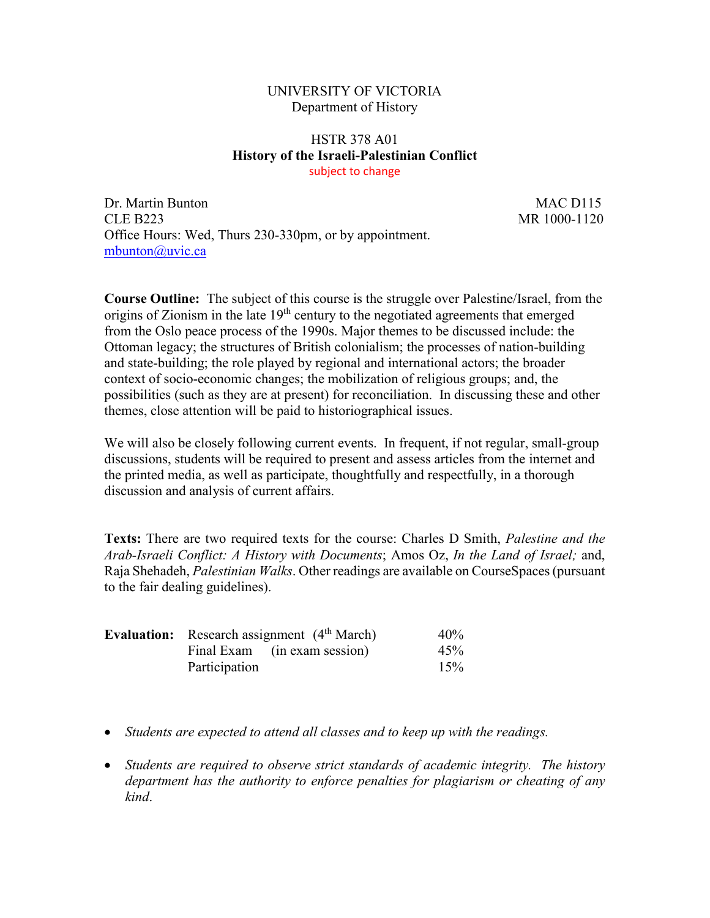# UNIVERSITY OF VICTORIA Department of History

## HSTR 378 A01 **History of the Israeli-Palestinian Conflict** subject to change

Dr. Martin Bunton MAC D115 CLE B223 MR 1000-1120 Office Hours: Wed, Thurs 230-330pm, or by appointment. [mbunton@uvic.ca](mailto:mbunton@uvic.ca)

**Course Outline:** The subject of this course is the struggle over Palestine/Israel, from the origins of Zionism in the late  $19<sup>th</sup>$  century to the negotiated agreements that emerged from the Oslo peace process of the 1990s. Major themes to be discussed include: the Ottoman legacy; the structures of British colonialism; the processes of nation-building and state-building; the role played by regional and international actors; the broader context of socio-economic changes; the mobilization of religious groups; and, the possibilities (such as they are at present) for reconciliation. In discussing these and other themes, close attention will be paid to historiographical issues.

We will also be closely following current events. In frequent, if not regular, small-group discussions, students will be required to present and assess articles from the internet and the printed media, as well as participate, thoughtfully and respectfully, in a thorough discussion and analysis of current affairs.

**Texts:** There are two required texts for the course: Charles D Smith, *Palestine and the Arab-Israeli Conflict: A History with Documents*; Amos Oz, *In the Land of Israel;* and, Raja Shehadeh, *Palestinian Walks*. Other readings are available on CourseSpaces(pursuant to the fair dealing guidelines).

| Evaluation: Research assignment $(4th March)$ |  | $40\%$ |
|-----------------------------------------------|--|--------|
| Final Exam (in exam session)                  |  | 45%    |
| Participation                                 |  | 15%    |

- *Students are expected to attend all classes and to keep up with the readings.*
- *Students are required to observe strict standards of academic integrity. The history department has the authority to enforce penalties for plagiarism or cheating of any kind*.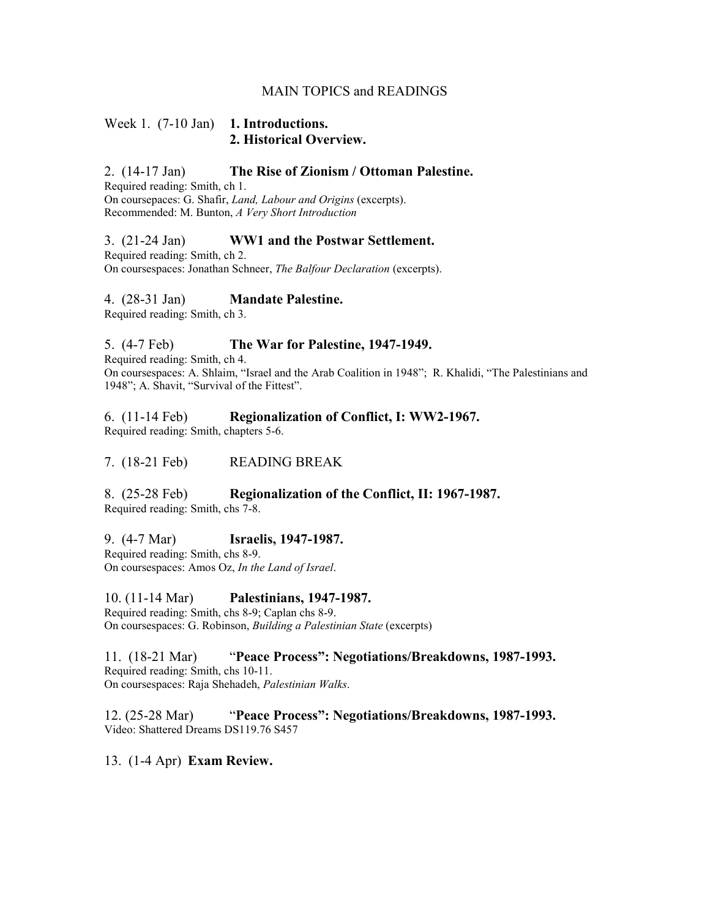#### MAIN TOPICS and READINGS

### Week 1. (7-10 Jan) **1. Introductions. 2. Historical Overview.**

### 2. (14-17 Jan) **The Rise of Zionism / Ottoman Palestine.**

Required reading: Smith, ch 1. On coursepaces: G. Shafir, *Land, Labour and Origins* (excerpts). Recommended: M. Bunton, *A Very Short Introduction*

3. (21-24 Jan) **WW1 and the Postwar Settlement.**  Required reading: Smith, ch 2. On coursespaces: Jonathan Schneer, *The Balfour Declaration* (excerpts).

4. (28-31 Jan) **Mandate Palestine.**

Required reading: Smith, ch 3.

#### 5. (4-7 Feb) **The War for Palestine, 1947-1949.**

Required reading: Smith, ch 4. On coursespaces: A. Shlaim, "Israel and the Arab Coalition in 1948"; R. Khalidi, "The Palestinians and 1948"; A. Shavit, "Survival of the Fittest".

6. (11-14 Feb) **Regionalization of Conflict, I: WW2-1967.** 

Required reading: Smith, chapters 5-6.

7. (18-21 Feb) READING BREAK

8. (25-28 Feb) **Regionalization of the Conflict, II: 1967-1987.**  Required reading: Smith, chs 7-8.

9. (4-7 Mar) **Israelis, 1947-1987.**

Required reading: Smith, chs 8-9. On coursespaces: Amos Oz, *In the Land of Israel*.

10. (11-14 Mar) **Palestinians, 1947-1987.**

Required reading: Smith, chs 8-9; Caplan chs 8-9. On coursespaces: G. Robinson, *Building a Palestinian State* (excerpts)

11. (18-21 Mar) "**Peace Process": Negotiations/Breakdowns, 1987-1993.** Required reading: Smith, chs 10-11.

On coursespaces: Raja Shehadeh, *Palestinian Walks*.

12. (25-28 Mar) "**Peace Process": Negotiations/Breakdowns, 1987-1993.** Video: Shattered Dreams DS119.76 S457

13. (1-4 Apr) **Exam Review.**